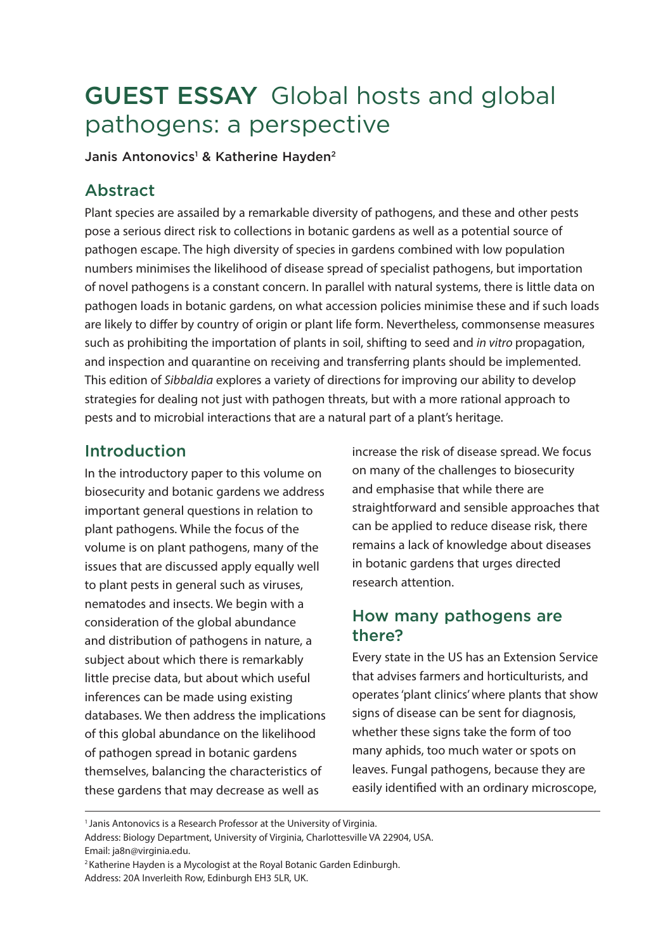# GUEST ESSAY Global hosts and global pathogens: a perspective

Janis Antonovics<sup>1</sup> & Katherine Hayden<sup>2</sup>

## Abstract

Plant species are assailed by a remarkable diversity of pathogens, and these and other pests pose a serious direct risk to collections in botanic gardens as well as a potential source of pathogen escape. The high diversity of species in gardens combined with low population numbers minimises the likelihood of disease spread of specialist pathogens, but importation of novel pathogens is a constant concern. In parallel with natural systems, there is little data on pathogen loads in botanic gardens, on what accession policies minimise these and if such loads are likely to differ by country of origin or plant life form. Nevertheless, commonsense measures such as prohibiting the importation of plants in soil, shifting to seed and *in vitro* propagation, and inspection and quarantine on receiving and transferring plants should be implemented. This edition of *Sibbaldia* explores a variety of directions for improving our ability to develop strategies for dealing not just with pathogen threats, but with a more rational approach to pests and to microbial interactions that are a natural part of a plant's heritage.

#### Introduction

In the introductory paper to this volume on biosecurity and botanic gardens we address important general questions in relation to plant pathogens. While the focus of the volume is on plant pathogens, many of the issues that are discussed apply equally well to plant pests in general such as viruses, nematodes and insects. We begin with a consideration of the global abundance and distribution of pathogens in nature, a subject about which there is remarkably little precise data, but about which useful inferences can be made using existing databases. We then address the implications of this global abundance on the likelihood of pathogen spread in botanic gardens themselves, balancing the characteristics of these gardens that may decrease as well as

increase the risk of disease spread. We focus on many of the challenges to biosecurity and emphasise that while there are straightforward and sensible approaches that can be applied to reduce disease risk, there remains a lack of knowledge about diseases in botanic gardens that urges directed research attention.

#### How many pathogens are there?

Every state in the US has an Extension Service that advises farmers and horticulturists, and operates 'plant clinics' where plants that show signs of disease can be sent for diagnosis, whether these signs take the form of too many aphids, too much water or spots on leaves. Fungal pathogens, because they are easily identified with an ordinary microscope,

<sup>&</sup>lt;sup>1</sup> Janis Antonovics is a Research Professor at the University of Virginia.

Address: Biology Department, University of Virginia, Charlottesville VA 22904, USA. Email: ja8n@virginia.edu.

<sup>2</sup>Katherine Hayden is a Mycologist at the Royal Botanic Garden Edinburgh. Address: 20A Inverleith Row, Edinburgh EH3 5LR, UK.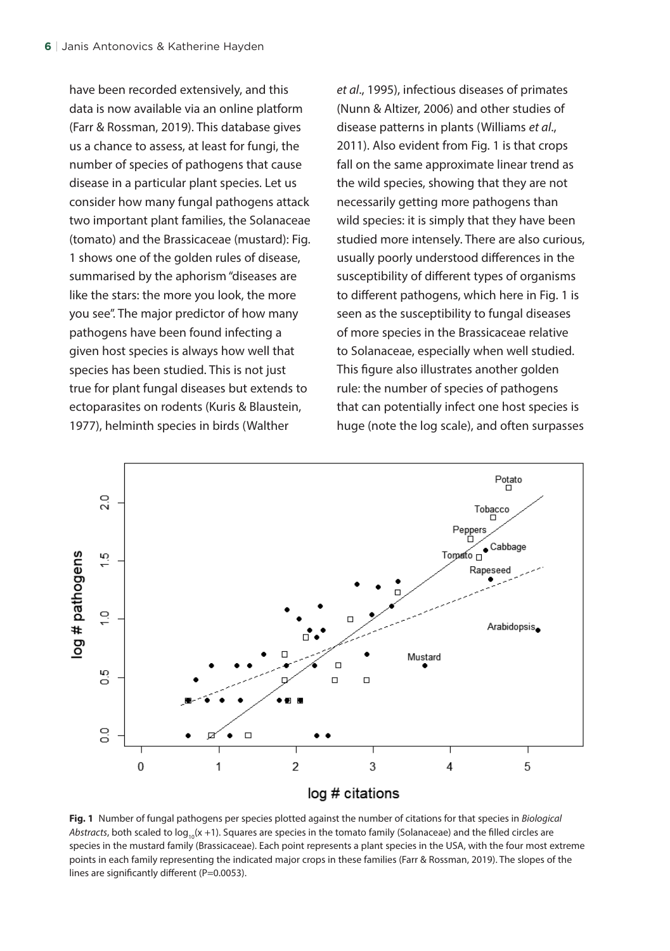have been recorded extensively, and this data is now available via an online platform (Farr & Rossman, 2019). This database gives us a chance to assess, at least for fungi, the number of species of pathogens that cause disease in a particular plant species. Let us consider how many fungal pathogens attack two important plant families, the Solanaceae (tomato) and the Brassicaceae (mustard): Fig. 1 shows one of the golden rules of disease, summarised by the aphorism "diseases are like the stars: the more you look, the more you see". The major predictor of how many pathogens have been found infecting a given host species is always how well that species has been studied. This is not just true for plant fungal diseases but extends to ectoparasites on rodents (Kuris & Blaustein, 1977), helminth species in birds (Walther

*et al*., 1995), infectious diseases of primates (Nunn & Altizer, 2006) and other studies of disease patterns in plants (Williams *et al*., 2011). Also evident from Fig. 1 is that crops fall on the same approximate linear trend as the wild species, showing that they are not necessarily getting more pathogens than wild species: it is simply that they have been studied more intensely. There are also curious, usually poorly understood differences in the susceptibility of different types of organisms to different pathogens, which here in Fig. 1 is seen as the susceptibility to fungal diseases of more species in the Brassicaceae relative to Solanaceae, especially when well studied. This figure also illustrates another golden rule: the number of species of pathogens that can potentially infect one host species is huge (note the log scale), and often surpasses



**Fig. 1** Number of fungal pathogens per species plotted against the number of citations for that species in *Biological Abstracts*, both scaled to  $log_{10}(x + 1)$ . Squares are species in the tomato family (Solanaceae) and the filled circles are species in the mustard family (Brassicaceae). Each point represents a plant species in the USA, with the four most extreme points in each family representing the indicated major crops in these families (Farr & Rossman, 2019). The slopes of the lines are significantly different (P=0.0053).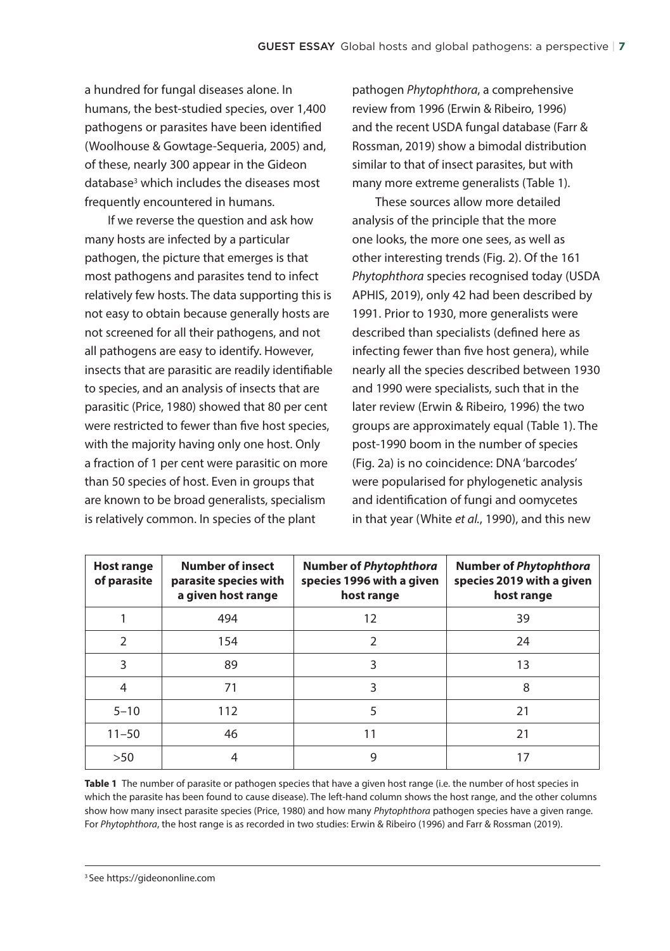a hundred for fungal diseases alone. In humans, the best-studied species, over 1,400 pathogens or parasites have been identified (Woolhouse & Gowtage-Sequeria, 2005) and, of these, nearly 300 appear in the Gideon database<sup>3</sup> which includes the diseases most frequently encountered in humans.

If we reverse the question and ask how many hosts are infected by a particular pathogen, the picture that emerges is that most pathogens and parasites tend to infect relatively few hosts. The data supporting this is not easy to obtain because generally hosts are not screened for all their pathogens, and not all pathogens are easy to identify. However, insects that are parasitic are readily identifiable to species, and an analysis of insects that are parasitic (Price, 1980) showed that 80 per cent were restricted to fewer than five host species, with the majority having only one host. Only a fraction of 1 per cent were parasitic on more than 50 species of host. Even in groups that are known to be broad generalists, specialism is relatively common. In species of the plant

pathogen *Phytophthora*, a comprehensive review from 1996 (Erwin & Ribeiro, 1996) and the recent USDA fungal database (Farr & Rossman, 2019) show a bimodal distribution similar to that of insect parasites, but with many more extreme generalists (Table 1).

These sources allow more detailed analysis of the principle that the more one looks, the more one sees, as well as other interesting trends (Fig. 2). Of the 161 *Phytophthora* species recognised today (USDA APHIS, 2019), only 42 had been described by 1991. Prior to 1930, more generalists were described than specialists (defined here as infecting fewer than five host genera), while nearly all the species described between 1930 and 1990 were specialists, such that in the later review (Erwin & Ribeiro, 1996) the two groups are approximately equal (Table 1). The post-1990 boom in the number of species (Fig. 2a) is no coincidence: DNA 'barcodes' were popularised for phylogenetic analysis and identification of fungi and oomycetes in that year (White *et al.*, 1990), and this new

| <b>Host range</b><br>of parasite | <b>Number of insect</b><br>parasite species with<br>a given host range | <b>Number of Phytophthora</b><br>species 1996 with a given<br>host range | <b>Number of Phytophthora</b><br>species 2019 with a given<br>host range |
|----------------------------------|------------------------------------------------------------------------|--------------------------------------------------------------------------|--------------------------------------------------------------------------|
|                                  | 494                                                                    | 12                                                                       | 39                                                                       |
| $\mathcal{P}$                    | 154                                                                    | 2                                                                        | 24                                                                       |
| 3                                | 89                                                                     | ξ                                                                        | 13                                                                       |
| 4                                | 71                                                                     | 3                                                                        | 8                                                                        |
| $5 - 10$                         | 112                                                                    | 5                                                                        | 21                                                                       |
| $11 - 50$                        | 46                                                                     | 11                                                                       | 21                                                                       |
| $>50$                            |                                                                        | 9                                                                        | 17                                                                       |

**Table 1** The number of parasite or pathogen species that have a given host range (i.e. the number of host species in which the parasite has been found to cause disease). The left-hand column shows the host range, and the other columns show how many insect parasite species (Price, 1980) and how many *Phytophthora* pathogen species have a given range. For *Phytophthora*, the host range is as recorded in two studies: Erwin & Ribeiro (1996) and Farr & Rossman (2019).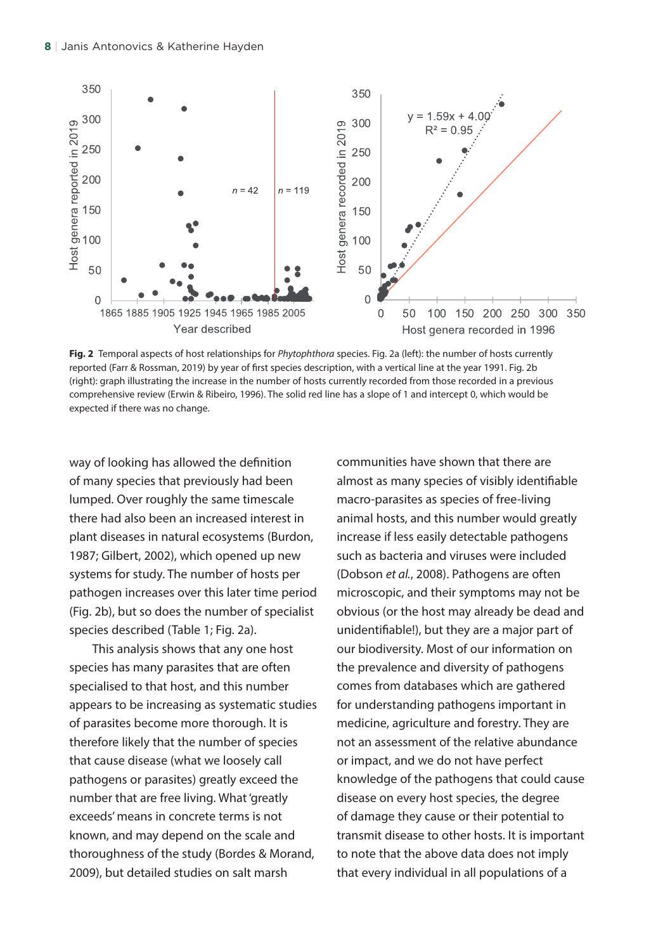

**Fig. 2** Temporal aspects of host relationships for *Phytophthora* species. Fig. 2a (left): the number of hosts currently reported (Farr & Rossman, 2019) by year of first species description, with a vertical line at the year 1991. Fig. 2b (right): graph illustrating the increase in the number of hosts currently recorded from those recorded in a previous comprehensive review (Erwin & Ribeiro, 1996). The solid red line has a slope of 1 and intercept 0, which would be expected if there was no change.

way of looking has allowed the definition of many species that previously had been lumped. Over roughly the same timescale there had also been an increased interest in plant diseases in natural ecosystems (Burdon, 1987; Gilbert, 2002), which opened up new systems for study. The number of hosts per pathogen increases over this later time period (Fig. 2b), but so does the number of specialist species described (Table 1; Fig. 2a).

This analysis shows that any one host species has many parasites that are often specialised to that host, and this number appears to be increasing as systematic studies of parasites become more thorough. It is therefore likely that the number of species that cause disease (what we loosely call pathogens or parasites) greatly exceed the number that are free living. What 'greatly exceeds' means in concrete terms is not known, and may depend on the scale and thoroughness of the study (Bordes & Morand, 2009), but detailed studies on salt marsh

communities have shown that there are almost as many species of visibly identifiable macro-parasites as species of free-living animal hosts, and this number would greatly increase if less easily detectable pathogens such as bacteria and viruses were included (Dobson *et al.*, 2008). Pathogens are often microscopic, and their symptoms may not be obvious (or the host may already be dead and unidentifiable!), but they are a major part of our biodiversity. Most of our information on the prevalence and diversity of pathogens comes from databases which are gathered for understanding pathogens important in medicine, agriculture and forestry. They are not an assessment of the relative abundance or impact, and we do not have perfect knowledge of the pathogens that could cause disease on every host species, the degree of damage they cause or their potential to transmit disease to other hosts. It is important to note that the above data does not imply that every individual in all populations of a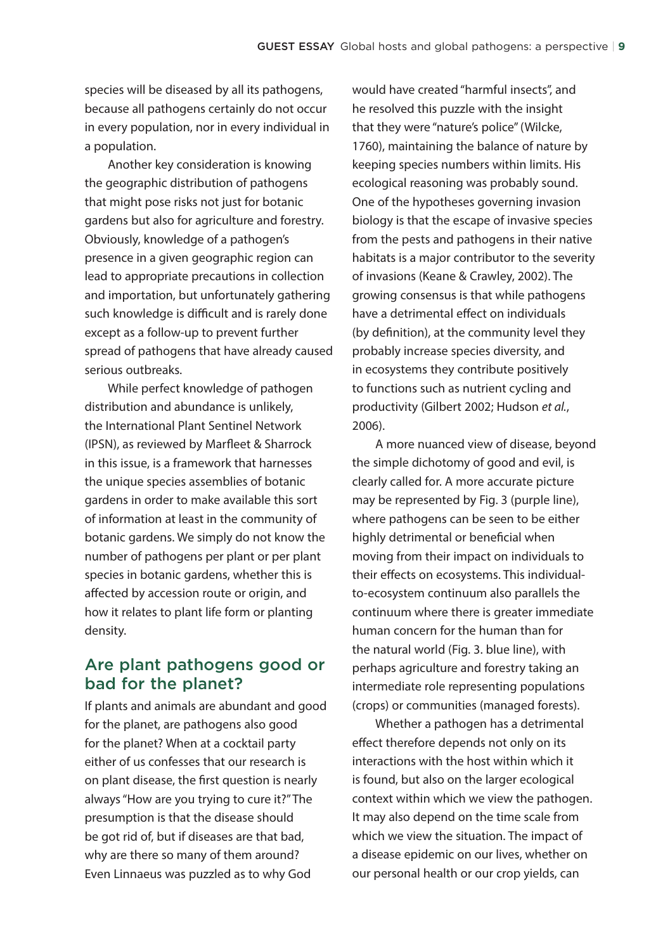species will be diseased by all its pathogens, because all pathogens certainly do not occur in every population, nor in every individual in a population.

Another key consideration is knowing the geographic distribution of pathogens that might pose risks not just for botanic gardens but also for agriculture and forestry. Obviously, knowledge of a pathogen's presence in a given geographic region can lead to appropriate precautions in collection and importation, but unfortunately gathering such knowledge is difficult and is rarely done except as a follow-up to prevent further spread of pathogens that have already caused serious outbreaks.

While perfect knowledge of pathogen distribution and abundance is unlikely, the International Plant Sentinel Network (IPSN), as reviewed by Marfleet & Sharrock in this issue, is a framework that harnesses the unique species assemblies of botanic gardens in order to make available this sort of information at least in the community of botanic gardens. We simply do not know the number of pathogens per plant or per plant species in botanic gardens, whether this is affected by accession route or origin, and how it relates to plant life form or planting density.

#### Are plant pathogens good or bad for the planet?

If plants and animals are abundant and good for the planet, are pathogens also good for the planet? When at a cocktail party either of us confesses that our research is on plant disease, the first question is nearly always "How are you trying to cure it?" The presumption is that the disease should be got rid of, but if diseases are that bad, why are there so many of them around? Even Linnaeus was puzzled as to why God

would have created "harmful insects", and he resolved this puzzle with the insight that they were "nature's police" (Wilcke, 1760), maintaining the balance of nature by keeping species numbers within limits. His ecological reasoning was probably sound. One of the hypotheses governing invasion biology is that the escape of invasive species from the pests and pathogens in their native habitats is a major contributor to the severity of invasions (Keane & Crawley, 2002). The growing consensus is that while pathogens have a detrimental effect on individuals (by definition), at the community level they probably increase species diversity, and in ecosystems they contribute positively to functions such as nutrient cycling and productivity (Gilbert 2002; Hudson *et al.*, 2006).

A more nuanced view of disease, beyond the simple dichotomy of good and evil, is clearly called for. A more accurate picture may be represented by Fig. 3 (purple line), where pathogens can be seen to be either highly detrimental or beneficial when moving from their impact on individuals to their effects on ecosystems. This individualto-ecosystem continuum also parallels the continuum where there is greater immediate human concern for the human than for the natural world (Fig. 3. blue line), with perhaps agriculture and forestry taking an intermediate role representing populations (crops) or communities (managed forests).

Whether a pathogen has a detrimental effect therefore depends not only on its interactions with the host within which it is found, but also on the larger ecological context within which we view the pathogen. It may also depend on the time scale from which we view the situation. The impact of a disease epidemic on our lives, whether on our personal health or our crop yields, can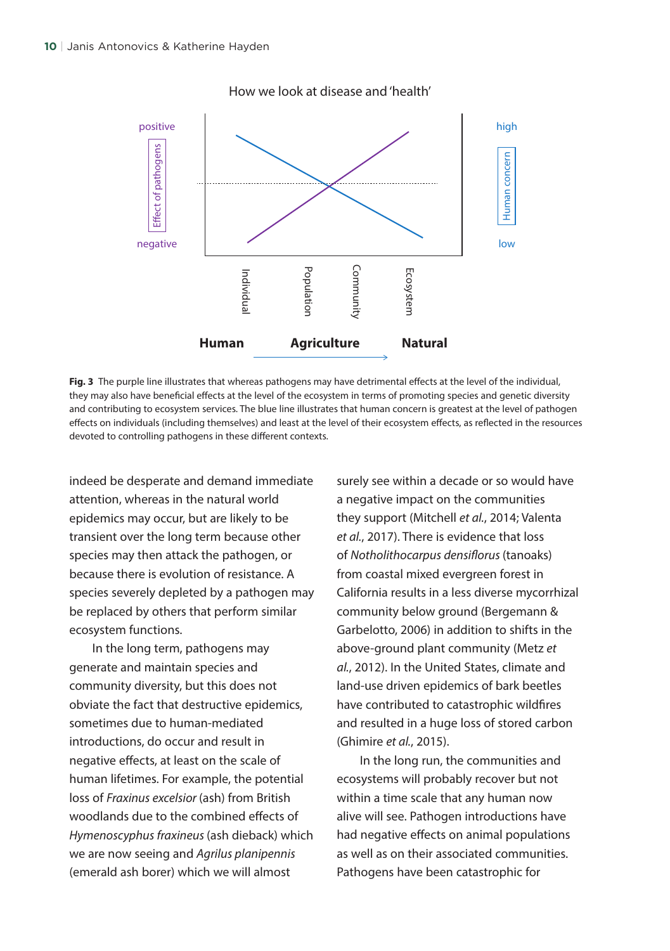

How we look at disease and 'health'

**Fig. 3** The purple line illustrates that whereas pathogens may have detrimental effects at the level of the individual, they may also have beneficial effects at the level of the ecosystem in terms of promoting species and genetic diversity and contributing to ecosystem services. The blue line illustrates that human concern is greatest at the level of pathogen effects on individuals (including themselves) and least at the level of their ecosystem effects, as reflected in the resources devoted to controlling pathogens in these different contexts.

indeed be desperate and demand immediate attention, whereas in the natural world epidemics may occur, but are likely to be transient over the long term because other species may then attack the pathogen, or because there is evolution of resistance. A species severely depleted by a pathogen may be replaced by others that perform similar ecosystem functions.

In the long term, pathogens may generate and maintain species and community diversity, but this does not obviate the fact that destructive epidemics, sometimes due to human-mediated introductions, do occur and result in negative effects, at least on the scale of human lifetimes. For example, the potential loss of *Fraxinus excelsior* (ash) from British woodlands due to the combined effects of *Hymenoscyphus fraxineus* (ash dieback) which we are now seeing and *Agrilus planipennis*  (emerald ash borer) which we will almost

surely see within a decade or so would have a negative impact on the communities they support (Mitchell *et al.*, 2014; Valenta *et al.*, 2017). There is evidence that loss of *Notholithocarpus densiflorus* (tanoaks) from coastal mixed evergreen forest in California results in a less diverse mycorrhizal community below ground (Bergemann & Garbelotto, 2006) in addition to shifts in the above-ground plant community (Metz *et al.*, 2012). In the United States, climate and land-use driven epidemics of bark beetles have contributed to catastrophic wildfires and resulted in a huge loss of stored carbon (Ghimire *et al.*, 2015).

In the long run, the communities and ecosystems will probably recover but not within a time scale that any human now alive will see. Pathogen introductions have had negative effects on animal populations as well as on their associated communities. Pathogens have been catastrophic for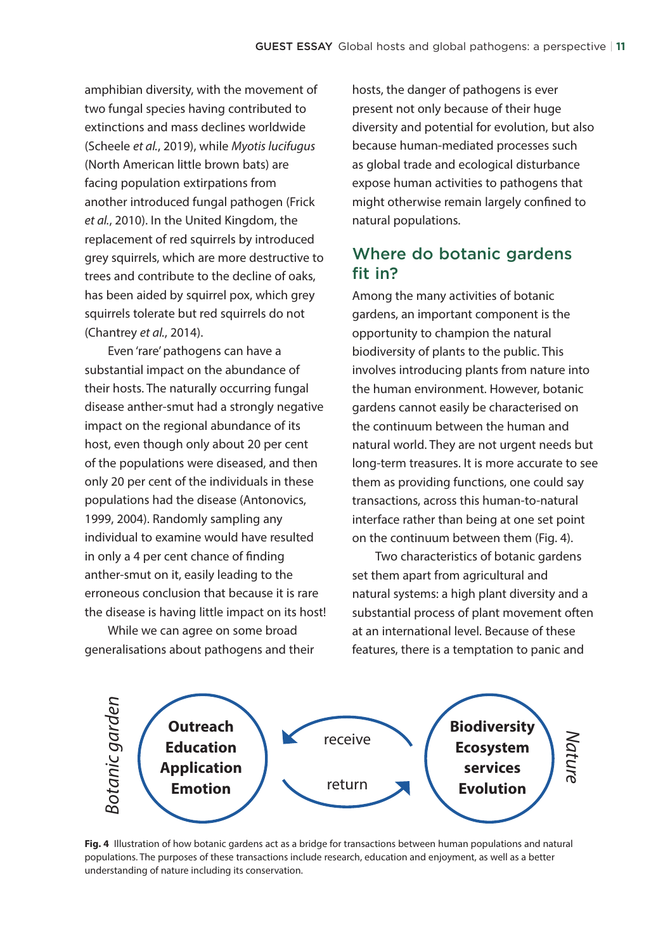amphibian diversity, with the movement of two fungal species having contributed to extinctions and mass declines worldwide (Scheele *et al.*, 2019), while *Myotis lucifugus* (North American little brown bats) are facing population extirpations from another introduced fungal pathogen (Frick *et al.*, 2010). In the United Kingdom, the replacement of red squirrels by introduced grey squirrels, which are more destructive to trees and contribute to the decline of oaks, has been aided by squirrel pox, which grey squirrels tolerate but red squirrels do not (Chantrey *et al.*, 2014).

Even 'rare' pathogens can have a substantial impact on the abundance of their hosts. The naturally occurring fungal disease anther-smut had a strongly negative impact on the regional abundance of its host, even though only about 20 per cent of the populations were diseased, and then only 20 per cent of the individuals in these populations had the disease (Antonovics, 1999, 2004). Randomly sampling any individual to examine would have resulted in only a 4 per cent chance of finding anther-smut on it, easily leading to the erroneous conclusion that because it is rare the disease is having little impact on its host!

While we can agree on some broad generalisations about pathogens and their hosts, the danger of pathogens is ever present not only because of their huge diversity and potential for evolution, but also because human-mediated processes such as global trade and ecological disturbance expose human activities to pathogens that might otherwise remain largely confined to natural populations.

### Where do botanic gardens fit in?

Among the many activities of botanic gardens, an important component is the opportunity to champion the natural biodiversity of plants to the public. This involves introducing plants from nature into the human environment. However, botanic gardens cannot easily be characterised on the continuum between the human and natural world. They are not urgent needs but long-term treasures. It is more accurate to see them as providing functions, one could say transactions, across this human-to-natural interface rather than being at one set point on the continuum between them (Fig. 4).

Two characteristics of botanic gardens set them apart from agricultural and natural systems: a high plant diversity and a substantial process of plant movement often at an international level. Because of these features, there is a temptation to panic and



**Fig. 4** Illustration of how botanic gardens act as a bridge for transactions between human populations and natural populations. The purposes of these transactions include research, education and enjoyment, as well as a better understanding of nature including its conservation.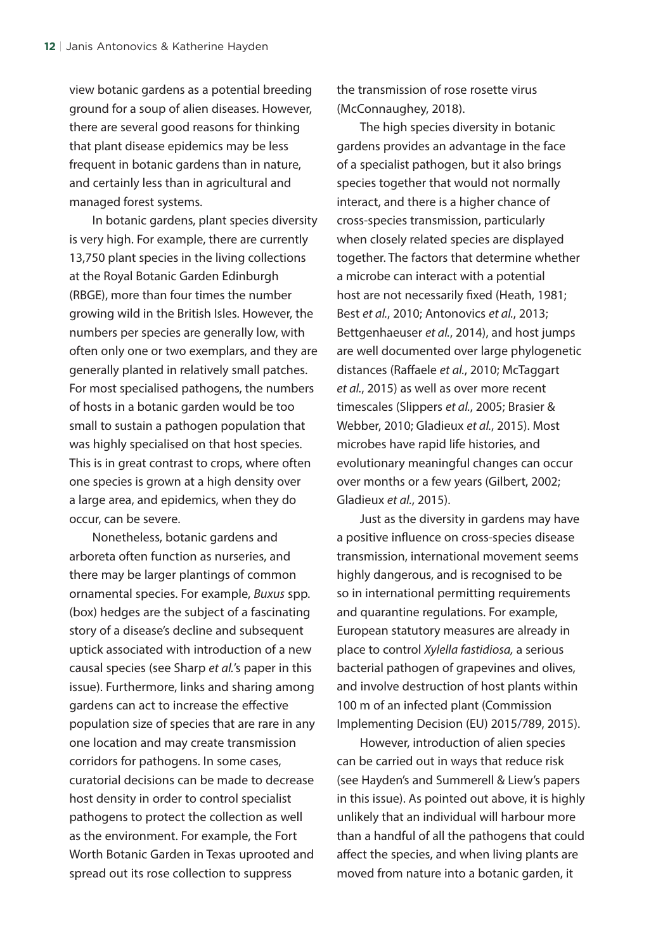view botanic gardens as a potential breeding ground for a soup of alien diseases. However, there are several good reasons for thinking that plant disease epidemics may be less frequent in botanic gardens than in nature, and certainly less than in agricultural and managed forest systems.

In botanic gardens, plant species diversity is very high. For example, there are currently 13,750 plant species in the living collections at the Royal Botanic Garden Edinburgh (RBGE), more than four times the number growing wild in the British Isles. However, the numbers per species are generally low, with often only one or two exemplars, and they are generally planted in relatively small patches. For most specialised pathogens, the numbers of hosts in a botanic garden would be too small to sustain a pathogen population that was highly specialised on that host species. This is in great contrast to crops, where often one species is grown at a high density over a large area, and epidemics, when they do occur, can be severe.

Nonetheless, botanic gardens and arboreta often function as nurseries, and there may be larger plantings of common ornamental species. For example, *Buxus* spp. (box) hedges are the subject of a fascinating story of a disease's decline and subsequent uptick associated with introduction of a new causal species (see Sharp *et al.*'s paper in this issue). Furthermore, links and sharing among gardens can act to increase the effective population size of species that are rare in any one location and may create transmission corridors for pathogens. In some cases, curatorial decisions can be made to decrease host density in order to control specialist pathogens to protect the collection as well as the environment. For example, the Fort Worth Botanic Garden in Texas uprooted and spread out its rose collection to suppress

the transmission of rose rosette virus (McConnaughey, 2018).

The high species diversity in botanic gardens provides an advantage in the face of a specialist pathogen, but it also brings species together that would not normally interact, and there is a higher chance of cross-species transmission, particularly when closely related species are displayed together. The factors that determine whether a microbe can interact with a potential host are not necessarily fixed (Heath, 1981; Best *et al.*, 2010; Antonovics *et al.*, 2013; Bettgenhaeuser *et al.*, 2014), and host jumps are well documented over large phylogenetic distances (Raffaele *et al.*, 2010; McTaggart *et al.*, 2015) as well as over more recent timescales (Slippers *et al.*, 2005; Brasier & Webber, 2010; Gladieux *et al.*, 2015). Most microbes have rapid life histories, and evolutionary meaningful changes can occur over months or a few years (Gilbert, 2002; Gladieux *et al.*, 2015).

Just as the diversity in gardens may have a positive influence on cross-species disease transmission, international movement seems highly dangerous, and is recognised to be so in international permitting requirements and quarantine regulations. For example, European statutory measures are already in place to control *Xylella fastidiosa,* a serious bacterial pathogen of grapevines and olives, and involve destruction of host plants within 100 m of an infected plant (Commission Implementing Decision (EU) 2015/789, 2015).

However, introduction of alien species can be carried out in ways that reduce risk (see Hayden's and Summerell & Liew's papers in this issue). As pointed out above, it is highly unlikely that an individual will harbour more than a handful of all the pathogens that could affect the species, and when living plants are moved from nature into a botanic garden, it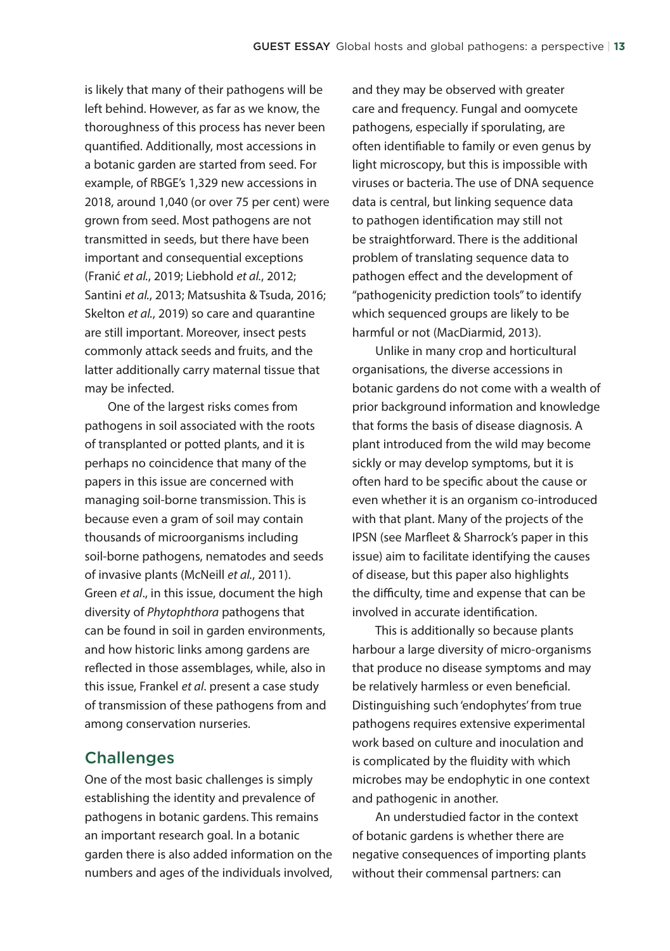is likely that many of their pathogens will be left behind. However, as far as we know, the thoroughness of this process has never been quantified. Additionally, most accessions in a botanic garden are started from seed. For example, of RBGE's 1,329 new accessions in 2018, around 1,040 (or over 75 per cent) were grown from seed. Most pathogens are not transmitted in seeds, but there have been important and consequential exceptions (Franić *et al.*, 2019; Liebhold *et al.*, 2012; Santini *et al.*, 2013; Matsushita & Tsuda, 2016; Skelton *et al.*, 2019) so care and quarantine are still important. Moreover, insect pests commonly attack seeds and fruits, and the latter additionally carry maternal tissue that may be infected.

One of the largest risks comes from pathogens in soil associated with the roots of transplanted or potted plants, and it is perhaps no coincidence that many of the papers in this issue are concerned with managing soil-borne transmission. This is because even a gram of soil may contain thousands of microorganisms including soil-borne pathogens, nematodes and seeds of invasive plants (McNeill *et al.*, 2011). Green *et al*., in this issue, document the high diversity of *Phytophthora* pathogens that can be found in soil in garden environments, and how historic links among gardens are reflected in those assemblages, while, also in this issue, Frankel *et al*. present a case study of transmission of these pathogens from and among conservation nurseries.

#### **Challenges**

One of the most basic challenges is simply establishing the identity and prevalence of pathogens in botanic gardens. This remains an important research goal. In a botanic garden there is also added information on the numbers and ages of the individuals involved, and they may be observed with greater care and frequency. Fungal and oomycete pathogens, especially if sporulating, are often identifiable to family or even genus by light microscopy, but this is impossible with viruses or bacteria. The use of DNA sequence data is central, but linking sequence data to pathogen identification may still not be straightforward. There is the additional problem of translating sequence data to pathogen effect and the development of "pathogenicity prediction tools" to identify which sequenced groups are likely to be harmful or not (MacDiarmid, 2013).

Unlike in many crop and horticultural organisations, the diverse accessions in botanic gardens do not come with a wealth of prior background information and knowledge that forms the basis of disease diagnosis. A plant introduced from the wild may become sickly or may develop symptoms, but it is often hard to be specific about the cause or even whether it is an organism co-introduced with that plant. Many of the projects of the IPSN (see Marfleet & Sharrock's paper in this issue) aim to facilitate identifying the causes of disease, but this paper also highlights the difficulty, time and expense that can be involved in accurate identification.

This is additionally so because plants harbour a large diversity of micro-organisms that produce no disease symptoms and may be relatively harmless or even beneficial. Distinguishing such 'endophytes' from true pathogens requires extensive experimental work based on culture and inoculation and is complicated by the fluidity with which microbes may be endophytic in one context and pathogenic in another.

An understudied factor in the context of botanic gardens is whether there are negative consequences of importing plants without their commensal partners: can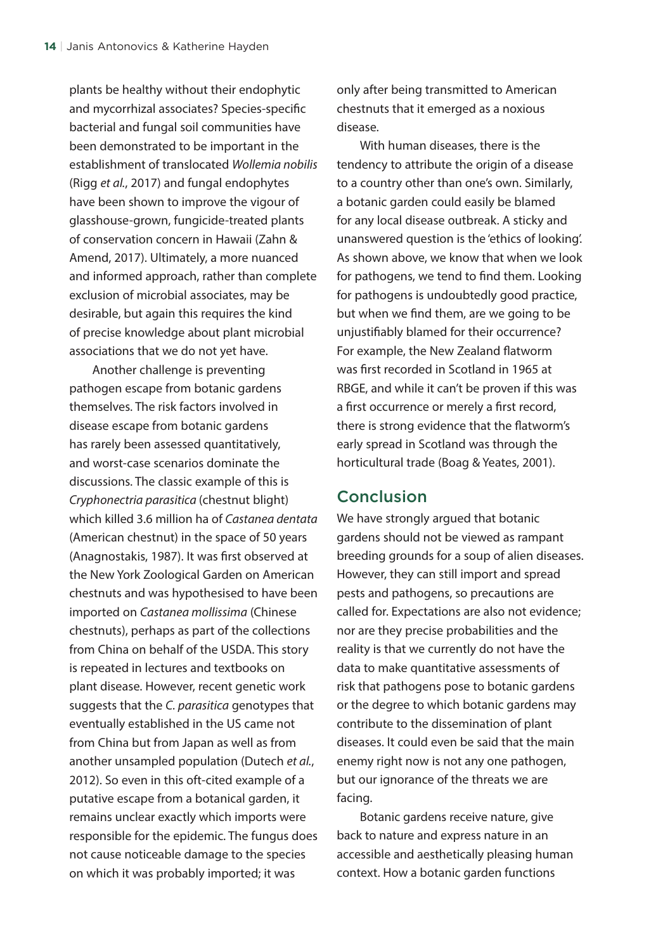plants be healthy without their endophytic and mycorrhizal associates? Species-specific bacterial and fungal soil communities have been demonstrated to be important in the establishment of translocated *Wollemia nobilis* (Rigg *et al.*, 2017) and fungal endophytes have been shown to improve the vigour of glasshouse-grown, fungicide-treated plants of conservation concern in Hawaii (Zahn & Amend, 2017). Ultimately, a more nuanced and informed approach, rather than complete exclusion of microbial associates, may be desirable, but again this requires the kind of precise knowledge about plant microbial associations that we do not yet have.

Another challenge is preventing pathogen escape from botanic gardens themselves. The risk factors involved in disease escape from botanic gardens has rarely been assessed quantitatively, and worst-case scenarios dominate the discussions. The classic example of this is *Cryphonectria parasitica* (chestnut blight) which killed 3.6 million ha of *Castanea dentata* (American chestnut) in the space of 50 years (Anagnostakis, 1987). It was first observed at the New York Zoological Garden on American chestnuts and was hypothesised to have been imported on *Castanea mollissima* (Chinese chestnuts), perhaps as part of the collections from China on behalf of the USDA. This story is repeated in lectures and textbooks on plant disease. However, recent genetic work suggests that the *C. parasitica* genotypes that eventually established in the US came not from China but from Japan as well as from another unsampled population (Dutech *et al.*, 2012). So even in this oft-cited example of a putative escape from a botanical garden, it remains unclear exactly which imports were responsible for the epidemic. The fungus does not cause noticeable damage to the species on which it was probably imported; it was

only after being transmitted to American chestnuts that it emerged as a noxious disease.

With human diseases, there is the tendency to attribute the origin of a disease to a country other than one's own. Similarly, a botanic garden could easily be blamed for any local disease outbreak. A sticky and unanswered question is the 'ethics of looking'. As shown above, we know that when we look for pathogens, we tend to find them. Looking for pathogens is undoubtedly good practice, but when we find them, are we going to be unjustifiably blamed for their occurrence? For example, the New Zealand flatworm was first recorded in Scotland in 1965 at RBGE, and while it can't be proven if this was a first occurrence or merely a first record, there is strong evidence that the flatworm's early spread in Scotland was through the horticultural trade (Boag & Yeates, 2001).

#### **Conclusion**

We have strongly argued that botanic gardens should not be viewed as rampant breeding grounds for a soup of alien diseases. However, they can still import and spread pests and pathogens, so precautions are called for. Expectations are also not evidence; nor are they precise probabilities and the reality is that we currently do not have the data to make quantitative assessments of risk that pathogens pose to botanic gardens or the degree to which botanic gardens may contribute to the dissemination of plant diseases. It could even be said that the main enemy right now is not any one pathogen, but our ignorance of the threats we are facing.

Botanic gardens receive nature, give back to nature and express nature in an accessible and aesthetically pleasing human context. How a botanic garden functions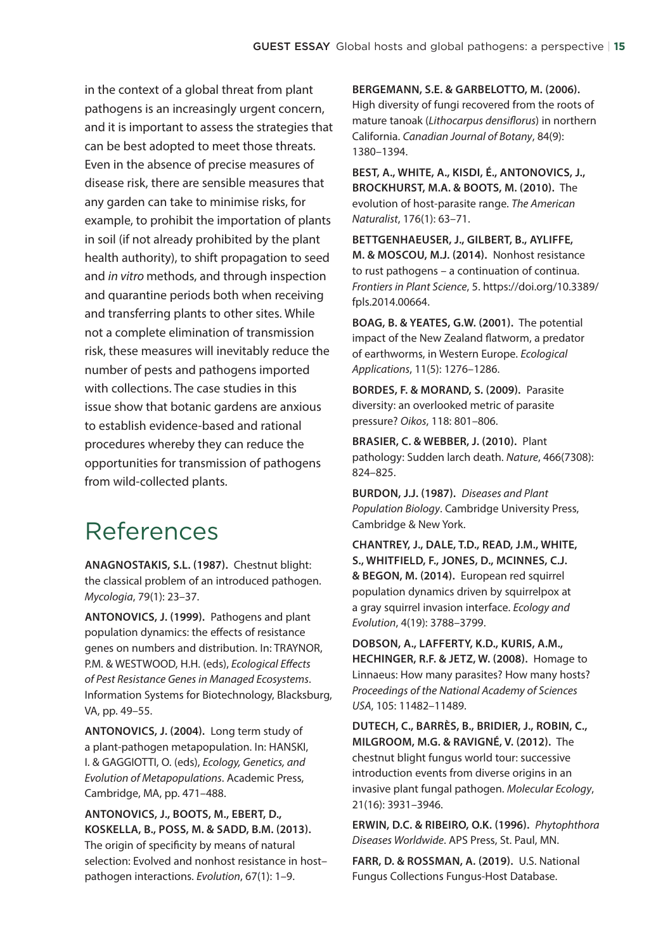in the context of a global threat from plant pathogens is an increasingly urgent concern, and it is important to assess the strategies that can be best adopted to meet those threats. Even in the absence of precise measures of disease risk, there are sensible measures that any garden can take to minimise risks, for example, to prohibit the importation of plants in soil (if not already prohibited by the plant health authority), to shift propagation to seed and *in vitro* methods, and through inspection and quarantine periods both when receiving and transferring plants to other sites. While not a complete elimination of transmission risk, these measures will inevitably reduce the number of pests and pathogens imported with collections. The case studies in this issue show that botanic gardens are anxious to establish evidence-based and rational procedures whereby they can reduce the opportunities for transmission of pathogens from wild-collected plants.

# References

**ANAGNOSTAKIS, S.L. (1987).** Chestnut blight: the classical problem of an introduced pathogen. *Mycologia*, 79(1): 23–37.

**ANTONOVICS, J. (1999).** Pathogens and plant population dynamics: the effects of resistance genes on numbers and distribution. In: TRAYNOR, P.M. & WESTWOOD, H.H. (eds), *Ecological Effects of Pest Resistance Genes in Managed Ecosystems*. Information Systems for Biotechnology, Blacksburg, VA, pp. 49–55.

**ANTONOVICS, J. (2004).** Long term study of a plant-pathogen metapopulation. In: HANSKI, I. & GAGGIOTTI, O. (eds), *Ecology, Genetics, and Evolution of Metapopulations*. Academic Press, Cambridge, MA, pp. 471–488.

**ANTONOVICS, J., BOOTS, M., EBERT, D., KOSKELLA, B., POSS, M. & SADD, B.M. (2013).** The origin of specificity by means of natural selection: Evolved and nonhost resistance in host– pathogen interactions. *Evolution*, 67(1): 1–9.

**BERGEMANN, S.E. & GARBELOTTO, M. (2006).** High diversity of fungi recovered from the roots of mature tanoak (*Lithocarpus densiflorus*) in northern California. *Canadian Journal of Botany*, 84(9): 1380–1394.

**BEST, A., WHITE, A., KISDI, É., ANTONOVICS, J., BROCKHURST, M.A. & BOOTS, M. (2010).** The evolution of host‐parasite range. *The American Naturalist*, 176(1): 63–71.

**BETTGENHAEUSER, J., GILBERT, B., AYLIFFE, M. & MOSCOU, M.J. (2014).** Nonhost resistance to rust pathogens – a continuation of continua. *Frontiers in Plant Science*, 5. https://doi.org/10.3389/ fpls.2014.00664.

**BOAG, B. & YEATES, G.W. (2001).** The potential impact of the New Zealand flatworm, a predator of earthworms, in Western Europe. *Ecological Applications*, 11(5): 1276–1286.

**BORDES, F. & MORAND, S. (2009).** Parasite diversity: an overlooked metric of parasite pressure? *Oikos*, 118: 801–806.

**BRASIER, C. & WEBBER, J. (2010).** Plant pathology: Sudden larch death. *Nature*, 466(7308): 824–825.

**BURDON, J.J. (1987).** *Diseases and Plant Population Biology*. Cambridge University Press, Cambridge & New York.

**CHANTREY, J., DALE, T.D., READ, J.M., WHITE, S., WHITFIELD, F., JONES, D., MCINNES, C.J. & BEGON, M. (2014).** European red squirrel population dynamics driven by squirrelpox at a gray squirrel invasion interface. *Ecology and Evolution*, 4(19): 3788–3799.

**DOBSON, A., LAFFERTY, K.D., KURIS, A.M., HECHINGER, R.F. & JETZ, W. (2008).** Homage to Linnaeus: How many parasites? How many hosts? *Proceedings of the National Academy of Sciences USA*, 105: 11482–11489.

**DUTECH, C., BARRÈS, B., BRIDIER, J., ROBIN, C., MILGROOM, M.G. & RAVIGNÉ, V. (2012).** The chestnut blight fungus world tour: successive introduction events from diverse origins in an invasive plant fungal pathogen. *Molecular Ecology*, 21(16): 3931–3946.

**ERWIN, D.C. & RIBEIRO, O.K. (1996).** *Phytophthora Diseases Worldwide*. APS Press, St. Paul, MN.

**FARR, D. & ROSSMAN, A. (2019).** U.S. National Fungus Collections Fungus-Host Database.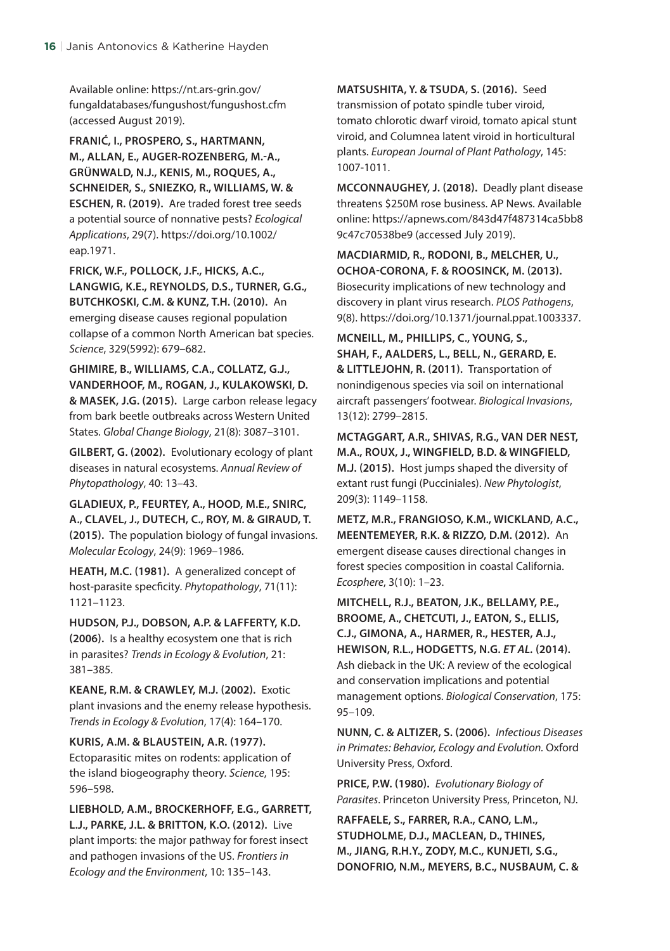Available online: https://nt.ars-grin.gov/ fungaldatabases/fungushost/fungushost.cfm (accessed August 2019).

**FRANIĆ, I., PROSPERO, S., HARTMANN, M., ALLAN, E., AUGER‐ROZENBERG, M.-A., GRÜNWALD, N.J., KENIS, M., ROQUES, A., SCHNEIDER, S., SNIEZKO, R., WILLIAMS, W. & ESCHEN, R. (2019).** Are traded forest tree seeds a potential source of nonnative pests? *Ecological Applications*, 29(7). https://doi.org/10.1002/ eap.1971.

**FRICK, W.F., POLLOCK, J.F., HICKS, A.C., LANGWIG, K.E., REYNOLDS, D.S., TURNER, G.G., BUTCHKOSKI, C.M. & KUNZ, T.H. (2010).** An emerging disease causes regional population collapse of a common North American bat species. *Science*, 329(5992): 679–682.

**GHIMIRE, B., WILLIAMS, C.A., COLLATZ, G.J., VANDERHOOF, M., ROGAN, J., KULAKOWSKI, D. & MASEK, J.G. (2015).** Large carbon release legacy from bark beetle outbreaks across Western United States. *Global Change Biology*, 21(8): 3087–3101.

**GILBERT, G. (2002).** Evolutionary ecology of plant diseases in natural ecosystems. *Annual Review of Phytopathology*, 40: 13–43.

**GLADIEUX, P., FEURTEY, A., HOOD, M.E., SNIRC, A., CLAVEL, J., DUTECH, C., ROY, M. & GIRAUD, T. (2015).** The population biology of fungal invasions. *Molecular Ecology*, 24(9): 1969–1986.

**HEATH, M.C. (1981).** A generalized concept of host-parasite specficity. *Phytopathology*, 71(11): 1121–1123.

**HUDSON, P.J., DOBSON, A.P. & LAFFERTY, K.D. (2006).** Is a healthy ecosystem one that is rich in parasites? *Trends in Ecology & Evolution*, 21: 381–385.

**KEANE, R.M. & CRAWLEY, M.J. (2002).** Exotic plant invasions and the enemy release hypothesis. *Trends in Ecology & Evolution*, 17(4): 164–170.

**KURIS, A.M. & BLAUSTEIN, A.R. (1977).** Ectoparasitic mites on rodents: application of the island biogeography theory. *Science*, 195: 596–598.

**LIEBHOLD, A.M., BROCKERHOFF, E.G., GARRETT, L.J., PARKE, J.L. & BRITTON, K.O. (2012).** Live plant imports: the major pathway for forest insect and pathogen invasions of the US. *Frontiers in Ecology and the Environment*, 10: 135–143.

**MATSUSHITA, Y. & TSUDA, S. (2016).** Seed transmission of potato spindle tuber viroid, tomato chlorotic dwarf viroid, tomato apical stunt viroid, and Columnea latent viroid in horticultural plants. *European Journal of Plant Pathology*, 145: 1007-1011.

**MCCONNAUGHEY, J. (2018).** Deadly plant disease threatens \$250M rose business. AP News. Available online: https://apnews.com/843d47f487314ca5bb8 9c47c70538be9 (accessed July 2019).

**MACDIARMID, R., RODONI, B., MELCHER, U., OCHOA-CORONA, F. & ROOSINCK, M. (2013).** Biosecurity implications of new technology and discovery in plant virus research. *PLOS Pathogens*, 9(8). https://doi.org/10.1371/journal.ppat.1003337.

**MCNEILL, M., PHILLIPS, C., YOUNG, S., SHAH, F., AALDERS, L., BELL, N., GERARD, E. & LITTLEJOHN, R. (2011).** Transportation of nonindigenous species via soil on international aircraft passengers' footwear. *Biological Invasions*, 13(12): 2799–2815.

**MCTAGGART, A.R., SHIVAS, R.G., VAN DER NEST, M.A., ROUX, J., WINGFIELD, B.D. & WINGFIELD, M.J. (2015).** Host jumps shaped the diversity of extant rust fungi (Pucciniales). *New Phytologist*, 209(3): 1149–1158.

**METZ, M.R., FRANGIOSO, K.M., WICKLAND, A.C., MEENTEMEYER, R.K. & RIZZO, D.M. (2012).** An emergent disease causes directional changes in forest species composition in coastal California. *Ecosphere*, 3(10): 1–23.

**MITCHELL, R.J., BEATON, J.K., BELLAMY, P.E., BROOME, A., CHETCUTI, J., EATON, S., ELLIS, C.J., GIMONA, A., HARMER, R., HESTER, A.J., HEWISON, R.L., HODGETTS, N.G.** *ET AL.* **(2014).** Ash dieback in the UK: A review of the ecological and conservation implications and potential management options. *Biological Conservation*, 175: 95–109.

**NUNN, C. & ALTIZER, S. (2006).** *Infectious Diseases in Primates: Behavior, Ecology and Evolution.* Oxford University Press, Oxford.

**PRICE, P.W. (1980).** *Evolutionary Biology of Parasites*. Princeton University Press, Princeton, NJ.

**RAFFAELE, S., FARRER, R.A., CANO, L.M., STUDHOLME, D.J., MACLEAN, D., THINES, M., JIANG, R.H.Y., ZODY, M.C., KUNJETI, S.G., DONOFRIO, N.M., MEYERS, B.C., NUSBAUM, C. &**